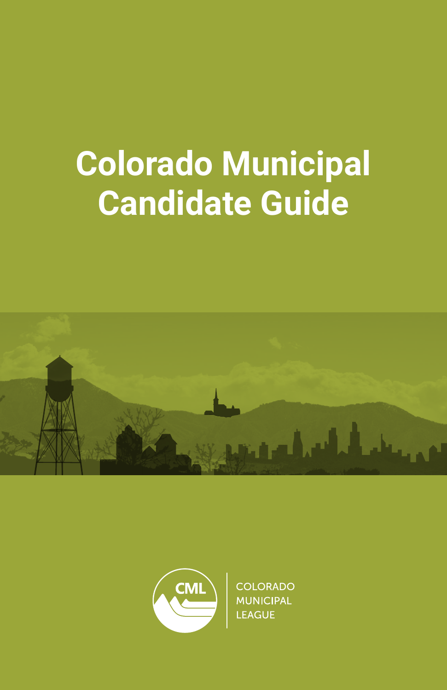# **Colorado Municipal Candidate Guide**





**COLORADO MUNICIPAL** LEAGUE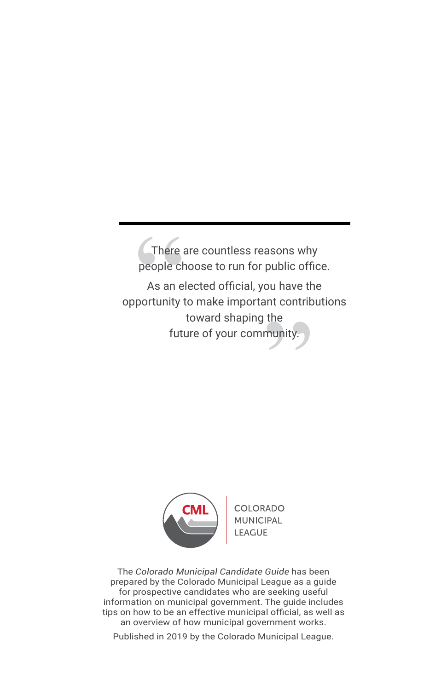people choose to run for public office. There are countless reasons why

There<br>people changes<br>As an exportunity<br>fut As an elected official, you have the<br>
rtunity to make important contribut<br>
toward shaping the<br>
future of your community. opportunity to make important contributions toward shaping the future of your community.



COLORADO LEAGUI

The *Colorado Municipal Candidate Guide* has been prepared by the Colorado Municipal League as a guide for prospective candidates who are seeking useful information on municipal government. The guide includes tips on how to be an effective municipal official, as well as an overview of how municipal government works.

Published in 2019 by the Colorado Municipal League.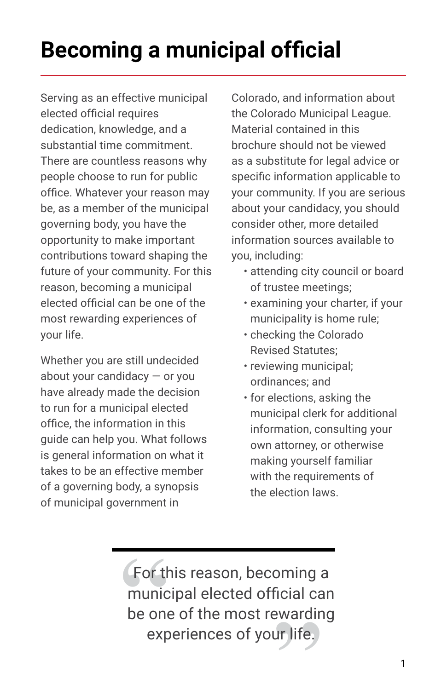# **Becoming a municipal official**

Serving as an effective municipal elected official requires dedication, knowledge, and a substantial time commitment. There are countless reasons why people choose to run for public office. Whatever your reason may be, as a member of the municipal governing body, you have the opportunity to make important contributions toward shaping the future of your community. For this reason, becoming a municipal elected official can be one of the most rewarding experiences of your life.

Whether you are still undecided about your candidacy — or you have already made the decision to run for a municipal elected office, the information in this guide can help you. What follows is general information on what it takes to be an effective member of a governing body, a synopsis of municipal government in

Colorado, and information about the Colorado Municipal League. Material contained in this brochure should not be viewed as a substitute for legal advice or specific information applicable to your community. If you are serious about your candidacy, you should consider other, more detailed information sources available to you, including:

- attending city council or board of trustee meetings;
- examining your charter, if your municipality is home rule;
- checking the Colorado Revised Statutes;
- reviewing municipal; ordinances; and
- for elections, asking the municipal clerk for additional information, consulting your own attorney, or otherwise making yourself familiar with the requirements of the election laws.

For the<br>
munic<br>
be one<br>
exp municipal elected official can For this reason, becoming a Tortins reason, becoming a<br>municipal elected official can<br>be one of the most rewarding<br>experiences of your life. experiences of your life.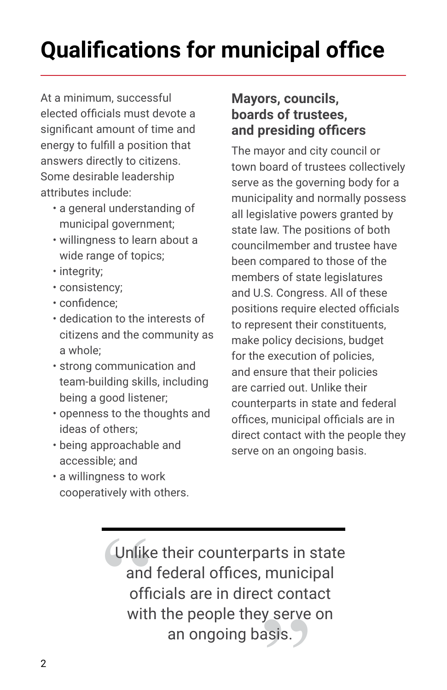# **Qualifications for municipal office**

At a minimum, successful elected officials must devote a significant amount of time and energy to fulfill a position that answers directly to citizens. Some desirable leadership attributes include:

- a general understanding of municipal government;
- willingness to learn about a wide range of topics;
- integrity;
- consistency;
- confidence;
- dedication to the interests of citizens and the community as a whole;
- strong communication and team-building skills, including being a good listener;
- openness to the thoughts and ideas of others;
- being approachable and accessible; and
- a willingness to work cooperatively with others.

### **Mayors, councils, boards of trustees, and presiding officers**

The mayor and city council or town board of trustees collectively serve as the governing body for a municipality and normally possess all legislative powers granted by state law. The positions of both councilmember and trustee have been compared to those of the members of state legislatures and U.S. Congress. All of these positions require elected officials to represent their constituents, make policy decisions, budget for the execution of policies, and ensure that their policies are carried out. Unlike their counterparts in state and federal offices, municipal officials are in direct contact with the people they serve on an ongoing basis.

Unlike<br>
and<br>
offi<br>
with Unlike their counterparts in state and federal offices, municipal munici<br>:t conta<br>y serve<br>asis. officials are in direct contact with the people they serve on an ongoing basis.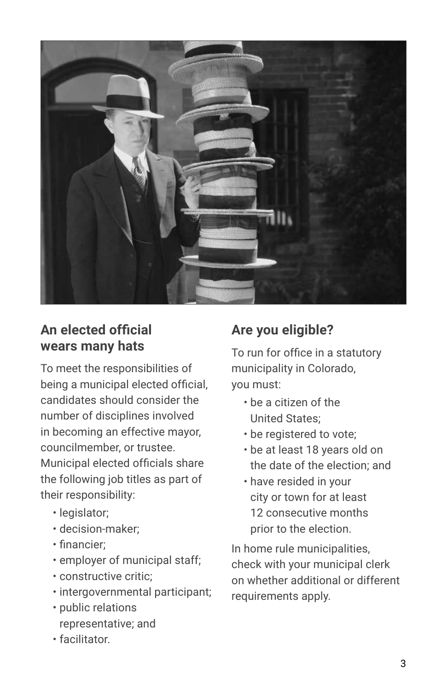

### **An elected official wears many hats**

To meet the responsibilities of being a municipal elected official, candidates should consider the number of disciplines involved in becoming an effective mayor, councilmember, or trustee. Municipal elected officials share the following job titles as part of their responsibility:

- legislator;
- decision-maker;
- financier;
- employer of municipal staff;
- constructive critic;
- intergovernmental participant;
- public relations representative; and
- facilitator.

# **Are you eligible?**

To run for office in a statutory municipality in Colorado, you must:

- be a citizen of the United States;
- be registered to vote;
- be at least 18 years old on the date of the election; and
- have resided in your city or town for at least 12 consecutive months prior to the election.

In home rule municipalities, check with your municipal clerk on whether additional or different requirements apply.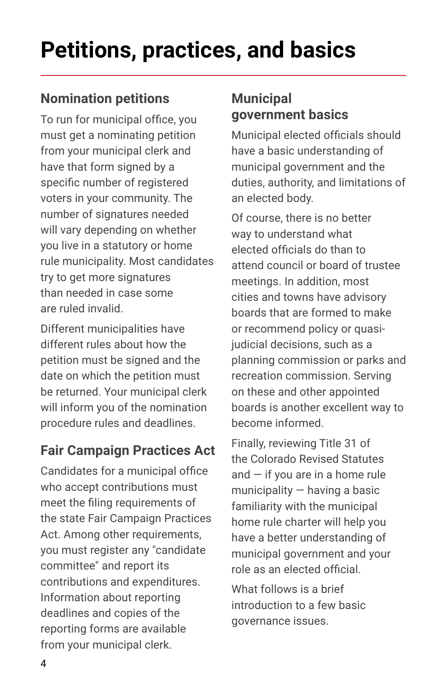# **Petitions, practices, and basics**

# **Nomination petitions**

To run for municipal office, you must get a nominating petition from your municipal clerk and have that form signed by a specific number of registered voters in your community. The number of signatures needed will vary depending on whether you live in a statutory or home rule municipality. Most candidates try to get more signatures than needed in case some are ruled invalid.

Different municipalities have different rules about how the petition must be signed and the date on which the petition must be returned. Your municipal clerk will inform you of the nomination procedure rules and deadlines.

# **Fair Campaign Practices Act**

Candidates for a municipal office who accept contributions must meet the filing requirements of the state Fair Campaign Practices Act. Among other requirements, you must register any "candidate committee" and report its contributions and expenditures. Information about reporting deadlines and copies of the reporting forms are available from your municipal clerk.

# **Municipal government basics**

Municipal elected officials should have a basic understanding of municipal government and the duties, authority, and limitations of an elected body.

Of course, there is no better way to understand what elected officials do than to attend council or board of trustee meetings. In addition, most cities and towns have advisory boards that are formed to make or recommend policy or quasijudicial decisions, such as a planning commission or parks and recreation commission. Serving on these and other appointed boards is another excellent way to become informed.

Finally, reviewing Title 31 of the Colorado Revised Statutes and  $-$  if you are in a home rule municipality — having a basic familiarity with the municipal home rule charter will help you have a better understanding of municipal government and your role as an elected official.

What follows is a brief introduction to a few basic governance issues.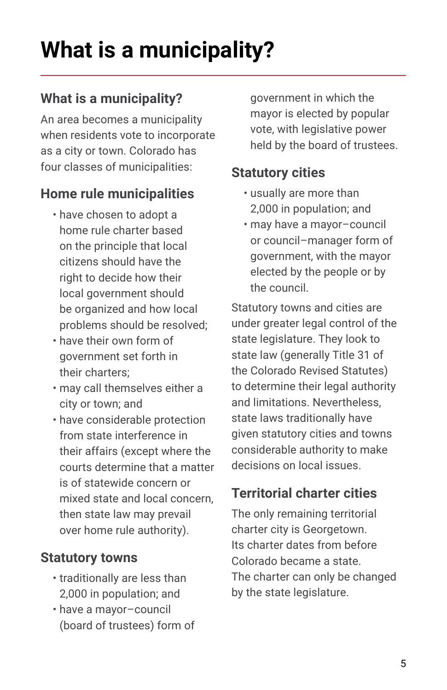# **What is a municipality?**

# **What is a municipality?**

An area becomes a municipality when residents vote to incorporate as a city or town. Colorado has four classes of municipalities:

## **Home rule municipalities**

- have chosen to adopt a home rule charter based on the principle that local citizens should have the right to decide how their local government should be organized and how local problems should be resolved;
- have their own form of government set forth in their charters;
- may call themselves either a city or town; and
- have considerable protection from state interference in their affairs (except where the courts determine that a matter is of statewide concern or mixed state and local concern, then state law may prevail over home rule authority).

### **Statutory towns**

- traditionally are less than 2,000 in population; and
- have a mayor–council (board of trustees) form of

government in which the mayor is elected by popular vote, with legislative power held by the board of trustees.

### **Statutory cities**

- usually are more than 2,000 in population; and
- may have a mayor–council or council–manager form of government, with the mayor elected by the people or by the council.

Statutory towns and cities are under greater legal control of the state legislature. They look to state law (generally Title 31 of the Colorado Revised Statutes) to determine their legal authority and limitations. Nevertheless, state laws traditionally have given statutory cities and towns considerable authority to make decisions on local issues.

# **Territorial charter cities**

The only remaining territorial charter city is Georgetown. Its charter dates from before Colorado became a state. The charter can only be changed by the state legislature.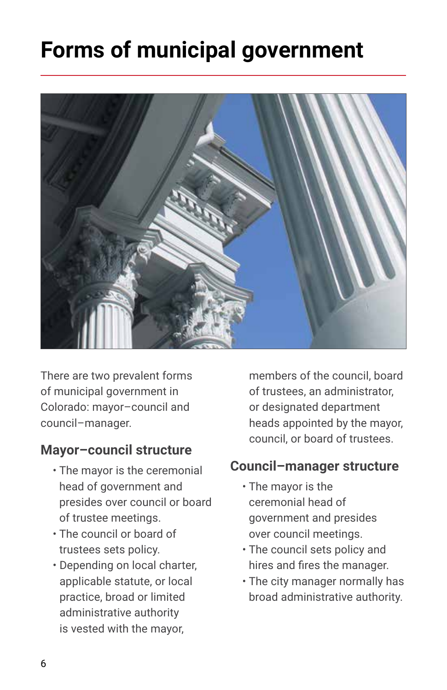# **Forms of municipal government**



There are two prevalent forms of municipal government in Colorado: mayor–council and council–manager.

#### **Mayor–council structure**

- The mayor is the ceremonial head of government and presides over council or board of trustee meetings.
- The council or board of trustees sets policy.
- Depending on local charter, applicable statute, or local practice, broad or limited administrative authority is vested with the mayor,

members of the council, board of trustees, an administrator, or designated department heads appointed by the mayor, council, or board of trustees.

#### **Council–manager structure**

- The mayor is the ceremonial head of government and presides over council meetings.
- The council sets policy and hires and fires the manager.
- The city manager normally has broad administrative authority.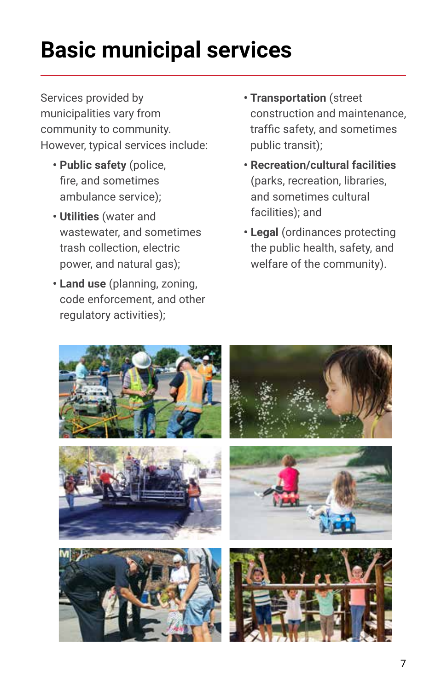# **Basic municipal services**

Services provided by municipalities vary from community to community. However, typical services include:

- **Public safety** (police, fire, and sometimes ambulance service);
- **Utilities** (water and wastewater, and sometimes trash collection, electric power, and natural gas);
- **Land use** (planning, zoning, code enforcement, and other regulatory activities);
- **Transportation** (street construction and maintenance, traffic safety, and sometimes public transit);
- **Recreation/cultural facilities** (parks, recreation, libraries, and sometimes cultural facilities); and
- **Legal** (ordinances protecting the public health, safety, and welfare of the community).

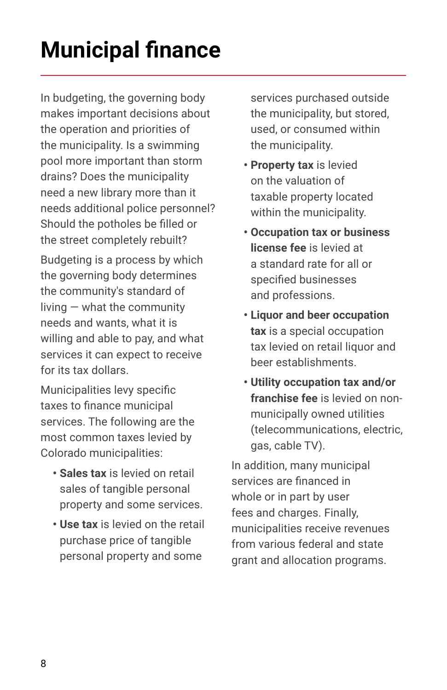# **Municipal finance**

In budgeting, the governing body makes important decisions about the operation and priorities of the municipality. Is a swimming pool more important than storm drains? Does the municipality need a new library more than it needs additional police personnel? Should the potholes be filled or the street completely rebuilt?

Budgeting is a process by which the governing body determines the community's standard of living — what the community needs and wants, what it is willing and able to pay, and what services it can expect to receive for its tax dollars.

Municipalities levy specific taxes to finance municipal services. The following are the most common taxes levied by Colorado municipalities:

- **Sales tax** is levied on retail sales of tangible personal property and some services.
- **Use tax** is levied on the retail purchase price of tangible personal property and some

services purchased outside the municipality, but stored, used, or consumed within the municipality.

- **Property tax** is levied on the valuation of taxable property located within the municipality.
- **Occupation tax or business license fee** is levied at a standard rate for all or specified businesses and professions.
- **Liquor and beer occupation tax** is a special occupation tax levied on retail liquor and beer establishments.
- **Utility occupation tax and/or franchise fee** is levied on nonmunicipally owned utilities (telecommunications, electric, gas, cable TV).

In addition, many municipal services are financed in whole or in part by user fees and charges. Finally, municipalities receive revenues from various federal and state grant and allocation programs.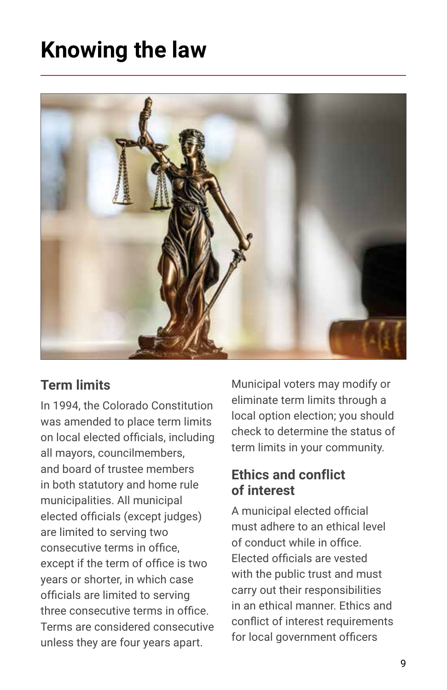# **Knowing the law**



## **Term limits**

In 1994, the Colorado Constitution was amended to place term limits on local elected officials, including all mayors, councilmembers, and board of trustee members in both statutory and home rule municipalities. All municipal elected officials (except judges) are limited to serving two consecutive terms in office, except if the term of office is two years or shorter, in which case officials are limited to serving three consecutive terms in office. Terms are considered consecutive unless they are four years apart.

Municipal voters may modify or eliminate term limits through a local option election; you should check to determine the status of term limits in your community.

### **Ethics and conflict of interest**

A municipal elected official must adhere to an ethical level of conduct while in office. Elected officials are vested with the public trust and must carry out their responsibilities in an ethical manner. Ethics and conflict of interest requirements for local government officers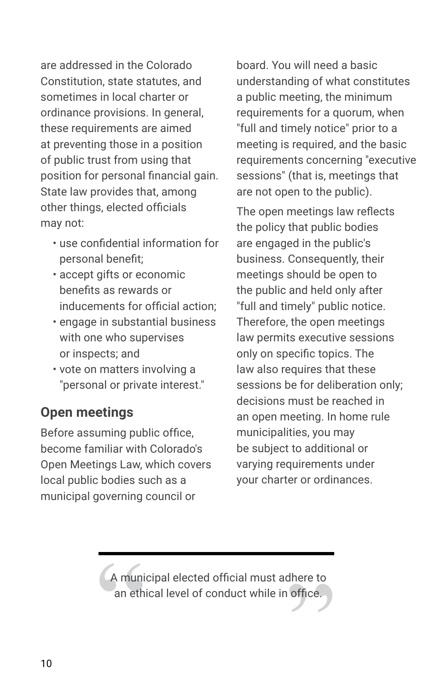are addressed in the Colorado Constitution, state statutes, and sometimes in local charter or ordinance provisions. In general, these requirements are aimed at preventing those in a position of public trust from using that position for personal financial gain. State law provides that, among other things, elected officials may not:

- use confidential information for personal benefit;
- accept gifts or economic benefits as rewards or inducements for official action;
- engage in substantial business with one who supervises or inspects; and
- vote on matters involving a "personal or private interest."

# **Open meetings**

Before assuming public office, become familiar with Colorado's Open Meetings Law, which covers local public bodies such as a municipal governing council or

board. You will need a basic understanding of what constitutes a public meeting, the minimum requirements for a quorum, when "full and timely notice" prior to a meeting is required, and the basic requirements concerning "executive sessions" (that is, meetings that are not open to the public).

The open meetings law reflects the policy that public bodies are engaged in the public's business. Consequently, their meetings should be open to the public and held only after "full and timely" public notice. Therefore, the open meetings law permits executive sessions only on specific topics. The law also requires that these sessions be for deliberation only; decisions must be reached in an open meeting. In home rule municipalities, you may be subject to additional or varying requirements under your charter or ordinances.

A municipal elected official must adhere to<br>an ethical level of conduct while in office. A municipal elected official must adhere to an ethical level of conduct while in office.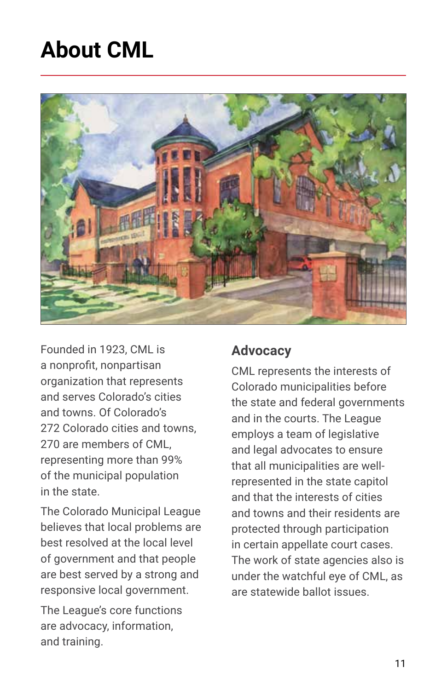# **About CML**



Founded in 1923, CML is a nonprofit, nonpartisan organization that represents and serves Colorado's cities and towns. Of Colorado's 272 Colorado cities and towns 270 are members of CML, representing more than 99% of the municipal population in the state.

The Colorado Municipal League believes that local problems are best resolved at the local level of government and that people are best served by a strong and responsive local government.

The League's core functions are advocacy, information, and training.

### **Advocacy**

CML represents the interests of Colorado municipalities before the state and federal governments and in the courts. The League employs a team of legislative and legal advocates to ensure that all municipalities are wellrepresented in the state capitol and that the interests of cities and towns and their residents are protected through participation in certain appellate court cases. The work of state agencies also is under the watchful eye of CML, as are statewide ballot issues.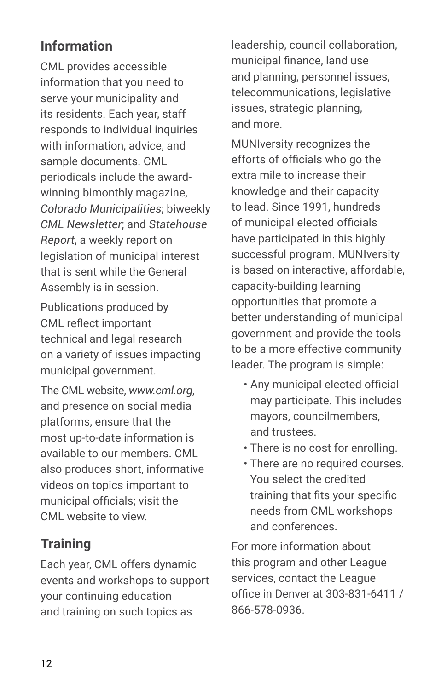# **Information**

CML provides accessible information that you need to serve your municipality and its residents. Each year, staff responds to individual inquiries with information, advice, and sample documents. CML periodicals include the awardwinning bimonthly magazine, *Colorado Municipalities*; biweekly *CML Newsletter*; and *Statehouse Report*, a weekly report on legislation of municipal interest that is sent while the General Assembly is in session.

Publications produced by CML reflect important technical and legal research on a variety of issues impacting municipal government.

The CML website, *www.cml.org*, and presence on social media platforms, ensure that the most up-to-date information is available to our members. CML also produces short, informative videos on topics important to municipal officials; visit the CML website to view.

## **Training**

Each year, CML offers dynamic events and workshops to support your continuing education and training on such topics as

leadership, council collaboration, municipal finance, land use and planning, personnel issues, telecommunications, legislative issues, strategic planning, and more.

MUNIversity recognizes the efforts of officials who go the extra mile to increase their knowledge and their capacity to lead. Since 1991, hundreds of municipal elected officials have participated in this highly successful program. MUNIversity is based on interactive, affordable, capacity-building learning opportunities that promote a better understanding of municipal government and provide the tools to be a more effective community leader. The program is simple:

- Any municipal elected official may participate. This includes mayors, councilmembers, and trustees.
- There is no cost for enrolling.
- There are no required courses. You select the credited training that fits your specific needs from CML workshops and conferences.

For more information about this program and other League services, contact the League office in Denver at 303-831-6411 / 866-578-0936.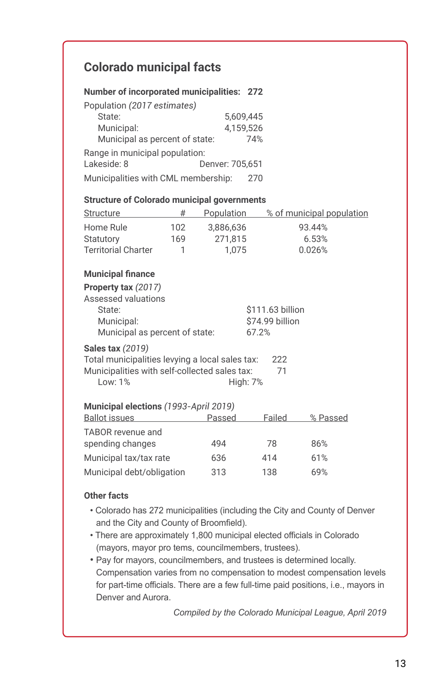#### **Colorado municipal facts**

| Number of incorporated municipalities: 272         |           |                 |                  |                           |  |
|----------------------------------------------------|-----------|-----------------|------------------|---------------------------|--|
| Population (2017 estimates)                        |           |                 |                  |                           |  |
| State:                                             | 5.609.445 |                 |                  |                           |  |
| Municipal:                                         | 4,159,526 |                 |                  |                           |  |
| Municipal as percent of state:                     |           |                 | 74%              |                           |  |
| Range in municipal population:                     |           |                 |                  |                           |  |
| Lakeside: 8                                        |           | Denver: 705.651 |                  |                           |  |
| Municipalities with CML membership:                |           |                 | 270              |                           |  |
| <b>Structure of Colorado municipal governments</b> |           |                 |                  |                           |  |
| Structure                                          |           | # Population    |                  | % of municipal population |  |
| Home Rule                                          | 102       | 3,886,636       |                  | 93.44%                    |  |
| Statutory                                          | 169       | 271.815         |                  | 6.53%                     |  |
| <b>Territorial Charter</b>                         | 1         | 1,075           |                  | 0.026%                    |  |
| <b>Municipal finance</b>                           |           |                 |                  |                           |  |
| Property tax (2017)                                |           |                 |                  |                           |  |
| Assessed valuations                                |           |                 |                  |                           |  |
| State:                                             |           |                 | \$111.63 billion |                           |  |
| \$74.99 billion<br>Municipal:                      |           |                 |                  |                           |  |
| Municipal as percent of state:                     |           |                 | 67.2%            |                           |  |
| <b>Sales tax (2019)</b>                            |           |                 |                  |                           |  |
| Total municipalities levying a local sales tax:    |           |                 | 222              |                           |  |
| Municipalities with self-collected sales tax:      |           |                 | 71               |                           |  |
| Low: 1%                                            |           | <b>High: 7%</b> |                  |                           |  |
| Municipal elections (1993-April 2019)              |           |                 |                  |                           |  |
| <b>Ballot</b> issues                               |           | Passed          | Failed           | % Passed                  |  |
|                                                    |           |                 |                  |                           |  |

| <u>Panvi Iooaco</u>       | .   | .   | $201$ avec |
|---------------------------|-----|-----|------------|
| TABOR revenue and         |     |     |            |
| spending changes          | 494 | 78  | 86%        |
| Municipal tax/tax rate    | 636 | 414 | 61%        |
| Municipal debt/obligation | 313 | 138 | 69%        |

#### **Other facts**

- Colorado has 272 municipalities (including the City and County of Denver and the City and County of Broomfield).
- There are approximately 1,800 municipal elected officials in Colorado (mayors, mayor pro tems, councilmembers, trustees).
- Pay for mayors, councilmembers, and trustees is determined locally. Compensation varies from no compensation to modest compensation levels for part-time officials. There are a few full-time paid positions, i.e., mayors in Denver and Aurora.

*Compiled by the Colorado Municipal League, April 2019*